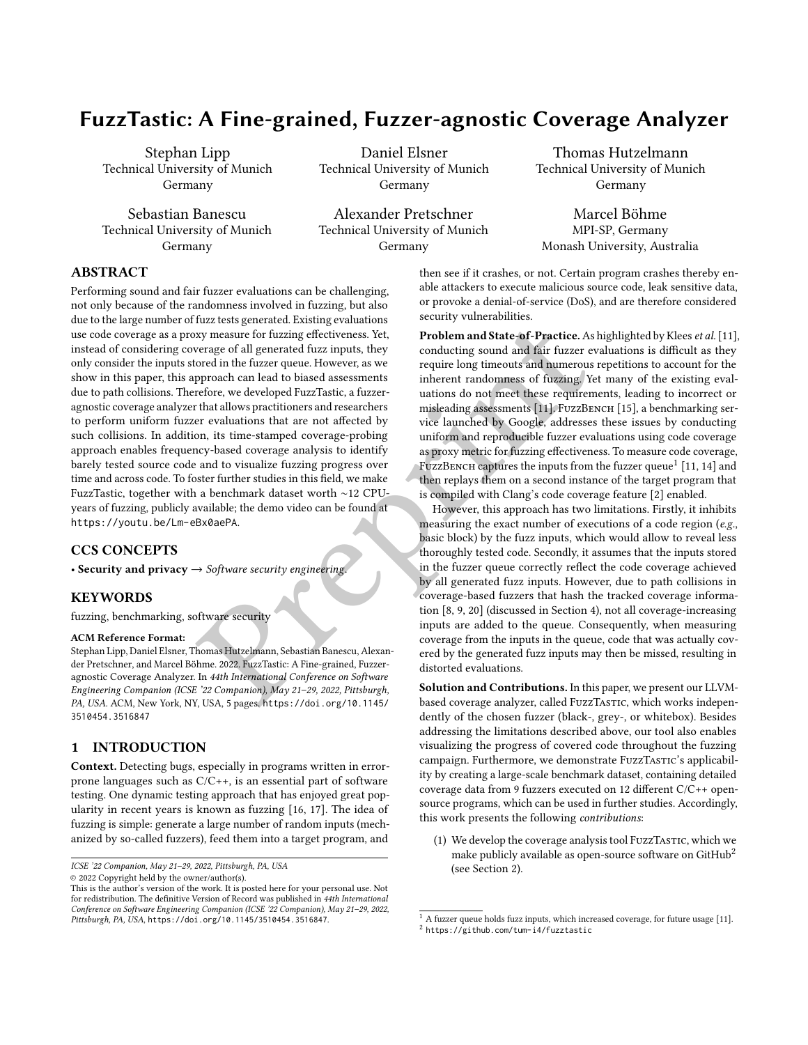# FuzzTastic: A Fine-grained, Fuzzer-agnostic Coverage Analyzer

Stephan Lipp Technical University of Munich Germany

Sebastian Banescu Technical University of Munich Germany

Daniel Elsner Technical University of Munich Germany

Alexander Pretschner Technical University of Munich Germany

Thomas Hutzelmann Technical University of Munich Germany

Marcel Böhme MPI-SP, Germany Monash University, Australia

## ABSTRACT

1122 feest generated. Existing equations we want the fuzzer example with the case of all generated fuzz inputs, they<br>
sext measure for fuzzing effectiveness. Yet republem and State-of-[P](https://doi.org/10.1145/3510454.3516847)ractice. As highly<br>
prepare of all g Performing sound and fair fuzzer evaluations can be challenging, not only because of the randomness involved in fuzzing, but also due to the large number of fuzz tests generated. Existing evaluations use code coverage as a proxy measure for fuzzing effectiveness. Yet, instead of considering coverage of all generated fuzz inputs, they only consider the inputs stored in the fuzzer queue. However, as we show in this paper, this approach can lead to biased assessments due to path collisions. Therefore, we developed FuzzTastic, a fuzzeragnostic coverage analyzer that allows practitioners and researchers to perform uniform fuzzer evaluations that are not affected by such collisions. In addition, its time-stamped coverage-probing approach enables frequency-based coverage analysis to identify barely tested source code and to visualize fuzzing progress over time and across code. To foster further studies in this field, we make FuzzTastic, together with a benchmark dataset worth ∼12 CPUyears of fuzzing, publicly available; the demo video can be found at <https://youtu.be/Lm-eBx0aePA>.

## CCS CONCEPTS

• Security and privacy  $\rightarrow$  Software security engineering.

## **KEYWORDS**

fuzzing, benchmarking, software security

#### ACM Reference Format:

Stephan Lipp, Daniel Elsner, Thomas Hutzelmann, Sebastian Banescu, Alexander Pretschner, and Marcel Böhme. 2022. FuzzTastic: A Fine-grained, Fuzzeragnostic Coverage Analyzer. In 44th International Conference on Software Engineering Companion (ICSE '22 Companion), May 21–29, 2022, Pittsburgh, PA, USA. ACM, New York, NY, USA, 5 pages. https://doi.org/10.1145/ [3510454.3516847](https://doi.org/10.1145/3510454.3516847)

## 1 INTRODUCTION

Context. Detecting bugs, especially in programs written in errorprone languages such as C/C++, is an essential part of software testing. One dynamic testing approach that has enjoyed great popularity in recent years is known as fuzzing [\[16,](#page-4-1) [17\]](#page-4-2). The idea of fuzzing is simple: generate a large number of random inputs (mechanized by so-called fuzzers), feed them into a target program, and

ICSE '22 Companion, May 21–29, 2022, Pittsburgh, PA, USA

© 2022 Copyright held by the owner/author(s).

then see if it crashes, or not. Certain program crashes thereby enable attackers to execute malicious source code, leak sensitive data, or provoke a denial-of-service (DoS), and are therefore considered security vulnerabilities.

Problem and State-of-Practice. As highlighted by Klees et al. [\[11\]](#page-4-3), conducting sound and fair fuzzer evaluations is difficult as they require long timeouts and numerous repetitions to account for the inherent randomness of fuzzing. Yet many of the existing evaluations do not meet these requirements, leading to incorrect or misleading assessments [11]. FUZZBENCH [\[15\]](#page-4-4), a benchmarking service launched by Google, addresses these issues by conducting uniform and reproducible fuzzer evaluations using code coverage as proxy metric for fuzzing effectiveness. To measure code coverage, FUZZBENCH captures the inputs from the fuzzer queue<sup>[1](#page-0-0)</sup> [\[11,](#page-4-3) [14\]](#page-4-5) and then replays them on a second instance of the target program that is compiled with Clang's code coverage feature [\[2\]](#page-4-6) enabled.

However, this approach has two limitations. Firstly, it inhibits measuring the exact number of executions of a code region (e.g., basic block) by the fuzz inputs, which would allow to reveal less thoroughly tested code. Secondly, it assumes that the inputs stored in the fuzzer queue correctly reflect the code coverage achieved by all generated fuzz inputs. However, due to path collisions in coverage-based fuzzers that hash the tracked coverage information [8, 9, 20] (discussed in Section [4\)](#page-3-0), not all coverage-increasing inputs are added to the queue. Consequently, when measuring coverage from the inputs in the queue, code that was actually covered by the generated fuzz inputs may then be missed, resulting in distorted evaluations.

Solution and Contributions. In this paper, we present our LLVMbased coverage analyzer, called FuzzTASTIC, which works independently of the chosen fuzzer (black-, grey-, or whitebox). Besides addressing the limitations described above, our tool also enables visualizing the progress of covered code throughout the fuzzing campaign. Furthermore, we demonstrate FuzzTASTIC's applicability by creating a large-scale benchmark dataset, containing detailed coverage data from 9 fuzzers executed on 12 different C/C++ opensource programs, which can be used in further studies. Accordingly, this work presents the following contributions:

(1) We develop the coverage analysis tool FuzzTasTIC, which we make publicly available as open-source software on  $G$ it $H$ ub<sup>[2](#page-0-1)</sup> (see Section [2\)](#page-1-0).

This is the author's version of the work. It is posted here for your personal use. Not for redistribution. The definitive Version of Record was published in 44th International Conference on Software Engineering Companion (ICSE '22 Companion), May 21–29, 2022, Pittsburgh, PA, USA, <https://doi.org/10.1145/3510454.3516847>.

<span id="page-0-0"></span> $^{\rm 1}$  A fuzzer queue holds fuzz inputs, which increased coverage, for future usage [\[11\]](#page-4-3).

<span id="page-0-1"></span><sup>2</sup> <https://github.com/tum-i4/fuzztastic>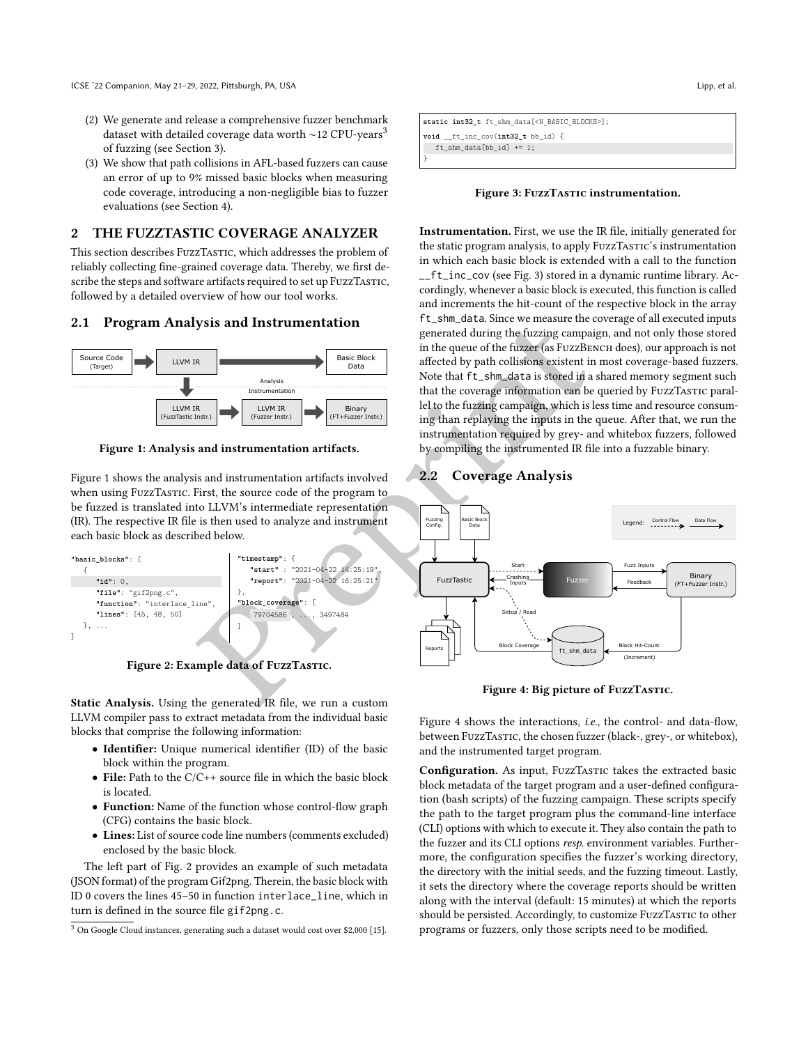- (2) We generate and release a comprehensive fuzzer benchmark dataset with detailed coverage data worth ~12 CPU-years<sup>[3](#page-1-1)</sup> of fuzzing (see Section [3\)](#page-2-0).
- (3) We show that path collisions in AFL-based fuzzers can cause an error of up to 9% missed basic blocks when measuring code coverage, introducing a non-negligible bias to fuzzer evaluations (see Section [4\)](#page-3-0).

## <span id="page-1-0"></span>2 THE FUZZTASTIC COVERAGE ANALYZER

This section describes FuzzTASTIC, which addresses the problem of reliably collecting fine-grained coverage data. Thereby, we first describe the steps and software artifacts required to set up FuzzTasTIC, followed by a detailed overview of how our tool works.

#### 2.1 Program Analysis and Instrumentation

<span id="page-1-2"></span>

Figure 1: Analysis and instrumentation artifacts.

Figure [1](#page-1-2) shows the analysis and instrumentation artifacts involved when using FuzzTastic. First, the source code of the program to be fuzzed is translated into LLVM's intermediate representation (IR). The respective IR file is then used to analyze and instrument each basic block as described below.

<span id="page-1-3"></span>

Figure 2: Example data of FuzzTastic.

Static Analysis. Using the generated IR file, we run a custom LLVM compiler pass to extract metadata from the individual basic blocks that comprise the following information:

- Identifier: Unique numerical identifier (ID) of the basic block within the program.
- File: Path to the C/C++ source file in which the basic block is located.
- Function: Name of the function whose control-flow graph (CFG) contains the basic block.
- Lines: List of source code line numbers (comments excluded) enclosed by the basic block.

The left part of Fig. [2](#page-1-3) provides an example of such metadata (JSON format) of the program Gif2png. Therein, the basic block with ID 0 covers the lines 45–50 in function interlace\_line, which in turn is defined in the source file gif2png.c .

<span id="page-1-4"></span>**static int32\_t** ft\_shm\_data[<N\_BASIC\_BLOCKS>]; **void** \_\_ft\_inc\_cov(**int32\_t** bb\_id) { ft\_shm\_data[bb\_id] += 1;

}

Figure 3: FuzzTASTIC instrumentation.

Instrumentation. First, we use the IR file, initially generated for the static program analysis, to apply FuzzTASTIC's instrumentation in which each basic block is extended with a call to the function \_\_ft\_inc\_cov (see Fig. [3\)](#page-1-4) stored in a dynamic runtime library. Accordingly, whenever a basic block is executed, this function is called and increments the hit-count of the respective block in the array ft\_shm\_data. Since we measure the coverage of all executed inputs generated during the fuzzing campaign, and not only those stored in the queue of the fuzzer (as FUZZBENCH does), our approach is not affected by path collisions existent in most coverage-based fuzzers. Note that ft\_shm\_data is stored in a shared memory segment such that the coverage information can be queried by FuzzTasTIC parallel to the fuzzing campaign, which is less time and resource consuming than replaying the inputs in the queue. After that, we run the instrumentation required by grey- and whitebox fuzzers, followed by compiling the instrumented IR file into a fuzzable binary.

## <span id="page-1-5"></span>2.2 Coverage Analysis



Figure 4: Big picture of FuzzTastic.

Figure [4](#page-1-5) shows the interactions, *i.e.*, the control- and data-flow, between FuzzTasTIC, the chosen fuzzer (black-, grey-, or whitebox), and the instrumented target program.

Configuration. As input, FuzzTASTIC takes the extracted basic block metadata of the target program and a user-defined configuration (bash scripts) of the fuzzing campaign. These scripts specify the path to the target program plus the command-line interface (CLI) options with which to execute it. They also contain the path to the fuzzer and its CLI options resp. environment variables. Furthermore, the configuration specifies the fuzzer's working directory, the directory with the initial seeds, and the fuzzing timeout. Lastly, it sets the directory where the coverage reports should be written along with the interval (default: 15 minutes) at which the reports should be persisted. Accordingly, to customize FuzzTasTIC to other programs or fuzzers, only those scripts need to be modified.

<span id="page-1-1"></span><sup>3</sup> On Google Cloud instances, generating such a dataset would cost over \$2,000 [\[15\]](#page-4-4).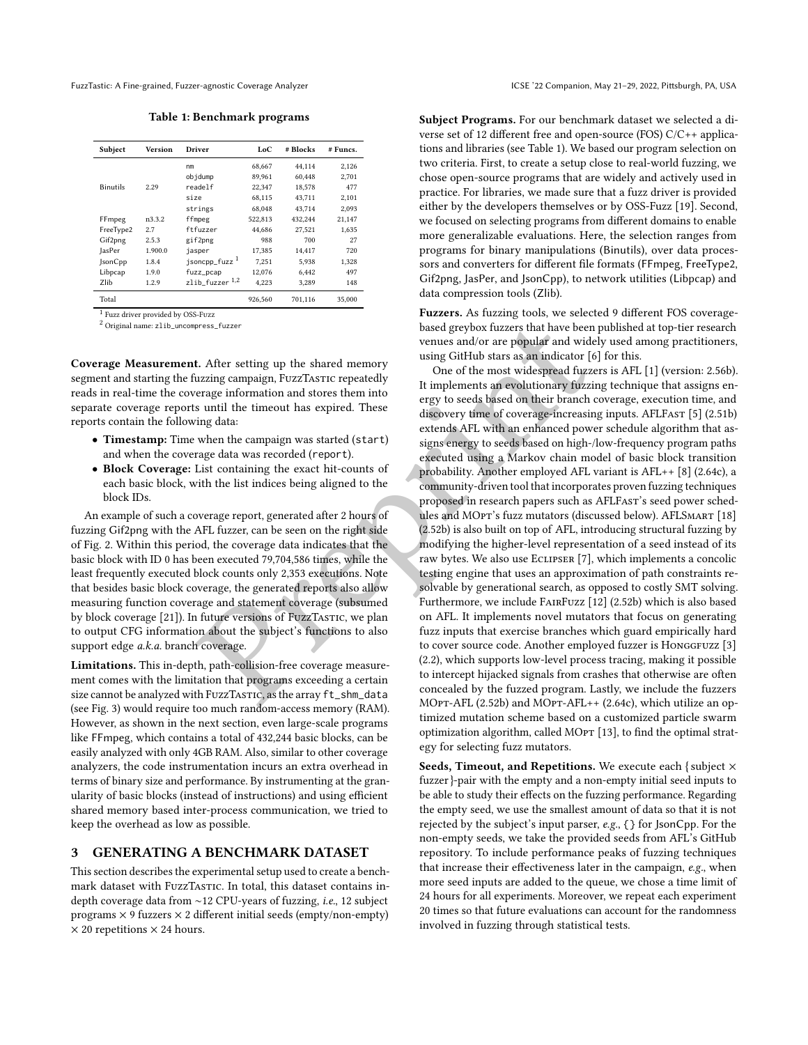<span id="page-2-1"></span>FuzzTastic: A Fine-grained, Fuzzer-agnostic Coverage Analyzer **ICSE '22 Companion, May 21-29, 2022, Pittsburgh, PA, USA** 

Table 1: Benchmark programs

| Subject         | <b>Version</b> | Driver                    | LoC     | # Blocks | # Funcs. |
|-----------------|----------------|---------------------------|---------|----------|----------|
|                 |                | nm                        | 68,667  | 44,114   | 2,126    |
|                 |                | objdump                   | 89,961  | 60.448   | 2.701    |
| <b>Binutils</b> | 2.29           | readelf                   | 22,347  | 18,578   | 477      |
|                 |                | size                      | 68,115  | 43,711   | 2.101    |
|                 |                | strings                   | 68.048  | 43.714   | 2.093    |
| FFmpeg          | n3.3.2         | ffmpeg                    | 522,813 | 432.244  | 21,147   |
| FreeType2       | 2.7            | ftfuzzer                  | 44.686  | 27.521   | 1,635    |
| Gif2png         | 2.5.3          | gif2png                   | 988     | 700      | 27       |
| JasPer          | 1.900.0        | jasper                    | 17,385  | 14.417   | 720      |
| <b>IsonCpp</b>  | 1.8.4          | jsoncpp_fuzz <sup>1</sup> | 7.251   | 5.938    | 1.328    |
| Libpcap         | 1.9.0          | fuzz_pcap                 | 12.076  | 6.442    | 497      |
| Zlib            | 1.2.9          | zlib fuzzer $^{1,2}$      | 4.223   | 3,289    | 148      |
| Total           |                |                           | 926.560 | 701.116  | 35,000   |

<sup>1</sup> Fuzz driver provided by OSS-Fuzz

<sup>2</sup> Original name: zlib\_uncompress\_fuzzer

Coverage Measurement. After setting up the shared memory segment and starting the fuzzing campaign, FuzzTASTIC repeatedly reads in real-time the coverage information and stores them into separate coverage reports until the timeout has expired. These reports contain the following data:

- Timestamp: Time when the campaign was started (start) and when the coverage data was recorded (report).
- Block Coverage: List containing the exact hit-counts of each basic block, with the list indices being aligned to the block IDs.

An example of such a coverage report, generated after 2 hours of fuzzing Gif2png with the AFL fuzzer, can be seen on the right side of Fig. [2.](#page-1-3) Within this period, the coverage data indicates that the basic block with ID 0 has been executed 79,704,586 times, while the least frequently executed block counts only 2,353 executions. Note that besides basic block coverage, the generated reports also allow measuring function coverage and statement coverage (subsumed by block coverage [\[21\]](#page-4-10)). In future versions of FuzzTasTIC, we plan to output CFG information about the subject's functions to also support edge a.k.a. branch coverage.

Limitations. This in-depth, path-collision-free coverage measurement comes with the limitation that programs exceeding a certain size cannot be analyzed with FuzzTASTIC, as the array ft\_shm\_data (see Fig. [3\)](#page-1-4) would require too much random-access memory (RAM). However, as shown in the next section, even large-scale programs like FFmpeg, which contains a total of 432,244 basic blocks, can be easily analyzed with only 4GB RAM. Also, similar to other coverage analyzers, the code instrumentation incurs an extra overhead in terms of binary size and performance. By instrumenting at the granularity of basic blocks (instead of instructions) and using efficient shared memory based inter-process communication, we tried to keep the overhead as low as possible.

#### <span id="page-2-0"></span>3 GENERATING A BENCHMARK DATASET

This section describes the experimental setup used to create a benchmark dataset with FuzzTASTIC. In total, this dataset contains indepth coverage data from ∼12 CPU-years of fuzzing, i.e., 12 subject programs × 9 fuzzers × 2 different initial seeds (empty/non-empty)  $\times$  20 repetitions  $\times$  24 hours.

Subject Programs. For our benchmark dataset we selected a diverse set of 12 different free and open-source (FOS) C/C++ applications and libraries (see Table [1\)](#page-2-1). We based our program selection on two criteria. First, to create a setup close to real-world fuzzing, we chose open-source programs that are widely and actively used in practice. For libraries, we made sure that a fuzz driver is provided either by the developers themselves or by OSS-Fuzz [\[19\]](#page-4-11). Second, we focused on selecting programs from different domains to enable more generalizable evaluations. Here, the selection ranges from programs for binary manipulations (Binutils), over data processors and converters for different file formats (FFmpeg, FreeType2, Gif2png , JasPer, and JsonCpp), to network utilities (Libpcap) and data compression tools (Zlib).

Fuzzers. As fuzzing tools, we selected 9 different FOS coveragebased greybox fuzzers that have been published at top-tier research venues and/or are popular and widely used among practitioners, using GitHub stars as an indicator [\[6\]](#page-4-12) for this.

Preprint One of the most widespread fuzzers is AFL [ [1\]](#page-4-13) (version: 2.56b). It implements an evolutionary fuzzing technique that assigns energy to seeds based on their branch coverage, execution time, and discovery time of coverage-increasing inputs. AFLFAST [[5\]](#page-4-14) (2.51b) extends AFL with an enhanced power schedule algorithm that assigns energy to seeds based on high-/low-frequency program paths executed using a Markov chain model of basic block transition probability. Another employed AFL variant is AFL++ [ [8\]](#page-4-7) (2.64c), a community-driven tool that incorporates proven fuzzing techniques proposed in research papers such as AFLFast's seed power sched-ules and MOPT's fuzz mutators (discussed below). AFLSMART [\[18\]](#page-4-15) (2.52b) is also built on top of AFL, introducing structural fuzzing by modifying the higher-level representation of a seed instead of its raw bytes. We also use Eclipser [ 7], which implements a concolic testing engine that uses an approximation of path constraints resolvable by generational search, as opposed to costly SMT solving. Furthermore, we include FairFuzz [\[12\]](#page-4-17) (2.52b) which is also based on AFL. It implements novel mutators that focus on generating fuzz inputs that exercise branches which guard empirically hard to cover source code. Another employed fuzzer is Honggfuzz [[3](#page-4-18)] (2.2), which supports low-level process tracing, making it possible to intercept hijacked signals from crashes that otherwise are often concealed by the fuzzed program. Lastly, we include the fuzzers MOpt-AFL (2.52b) and MOpt-AFL++ (2.64c), which utilize an optimized mutation scheme based on a customized particle swarm optimization algorithm, called MOPT [\[13\]](#page-4-19), to find the optimal strategy for selecting fuzz mutators.

> Seeds, Timeout, and Repetitions. We execute each { subject  $\times$ fuzzer }-pair with the empty and a non-empty initial seed inputs to be able to study their effects on the fuzzing performance. Regarding the empty seed, we use the smallest amount of data so that it is not rejected by the subject's input parser, e.g. , {} for JsonCpp. For the non-empty seeds, we take the provided seeds from AFL's GitHub repository. To include performance peaks of fuzzing techniques that increase their effectiveness later in the campaign, e.g., when more seed inputs are added to the queue, we chose a time limit of 24 hours for all experiments. Moreover, we repeat each experiment 20 times so that future evaluations can account for the randomness involved in fuzzing through statistical tests.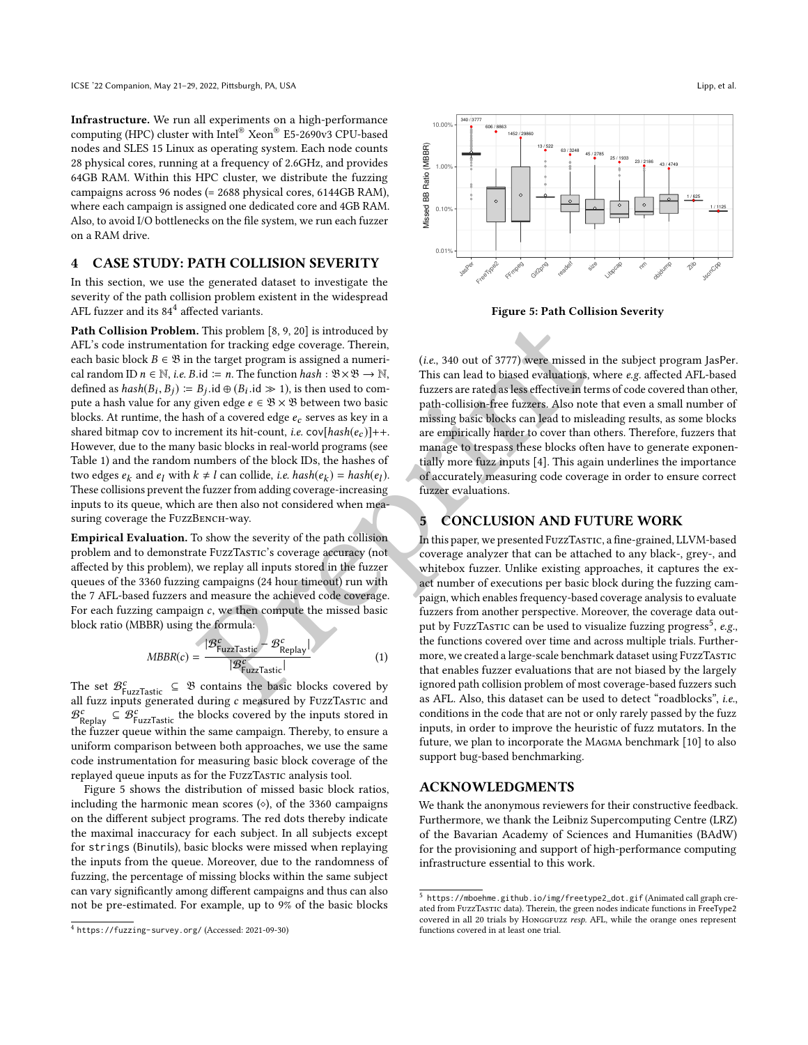Infrastructure. We run all experiments on a high-performance computing (HPC) cluster with Intel ® Xeon ® E5-2690v3 CPU-based nodes and SLES 15 Linux as operating system. Each node counts 28 physical cores, running at a frequency of 2.6GHz, and provides 64GB RAM. Within this HPC cluster, we distribute the fuzzing campaigns across 96 nodes (= 2688 physical cores, 6144GB RAM), where each campaign is assigned one dedicated core and 4GB RAM. Also, to avoid I/O bottlenecks on the file system, we run each fuzzer on a RAM drive.

## <span id="page-3-0"></span>4 CASE STUDY: PATH COLLISION SEVERITY

In this section, we use the generated dataset to investigate the severity of the path collision problem existent in the widespread AFL fuzzer and its  $84^4$  $84^4$  $84^4$  affected variants.

. This problem [8, 9, 20] is i[n](#page-4-20)troduced by<br>
on for tracking edge coverage. Therein,<br>
the target program is assigned a numeri-<br>  $B_j$ , id  $\oplus (B_j$ , id  $\oplus (B_j)$ , is then used to com-<br>  $B_j$ , id  $\oplus (B_j)$ , is then used to com Path Collision Problem. This problem [8, 9, 20] is introduced by AFL's code instrumentation for tracking edge coverage. Therein, each basic block  $B \in \mathfrak{B}$  in the target program is assigned a numerical random ID  $n \in \mathbb{N}$ , *i.e.* B.id  $\coloneqq n$ . The function  $hash : \mathfrak{B} \times \mathfrak{B} \to \mathbb{N}$ , defined as  $hash(B_i, B_j) := B_j$ .id  $\oplus (B_i \text{ id} \geq 1)$ , is then used to com-<br>pute a bash value for any given edge  $e \in \mathbb{R} \times \mathbb{R}$  between two basic pute a hash value for any given edge  $e \in \mathcal{B} \times \mathcal{B}$  between two basic blocks. At runtime, the hash of a covered edge  $e_c$  serves as key in a shared bitmap cov to increment its hit-count, *i.e.*  $cov[hash(e_c)]++$ . However, due to the many basic blocks in real-world programs (see Table [1\)](#page-2-1) and the random numbers of the block IDs, the hashes of two edges  $e_k$  and  $e_l$  with  $k \neq l$  can collide, *i.e.*  $hash(e_k) = hash(e_l)$ . These collisions prevent the fuzzer from adding coverage-increasing inputs to its queue, which are then also not considered when measuring coverage the FuzzBENCH-way. omption and the state with the "EV Excels" (EV-Book CVU-based) is a physical core, turning at a frequency of 26/21-12, and provides are an application of the state of the state of the state of the state of the state of th

Empirical Evaluation. To show the severity of the path collision problem and to demonstrate FuzzTASTIC's coverage accuracy (not affected by this problem), we replay all inputs stored in the fuzzer queues of the 3360 fuzzing campaigns (24 hour timeout) run with the 7 AFL-based fuzzers and measure the achieved code coverage. For each fuzzing campaign  $c$ , we then compute the missed basic block ratio (MBBR) using the formula:

$$
MBBR(c) = \frac{|\mathcal{B}_{\text{FuzzTastic}}^c - \mathcal{B}_{\text{Replay}}^c|}{|\mathcal{B}_{\text{FuzzTastic}}^c|}
$$
(1)

The set  $\mathcal{B}_{\text{FuzzTastic}}^c \subseteq \mathcal{B}$  contains the basic blocks covered by all fuzz inputs generated during  $c$  measured by FuzzTASTIC and  $\mathcal{B}_{\text{Replay}}^c \subseteq \mathcal{B}_{\text{FuzzTastic}}^c$  the blocks covered by the inputs stored in the fuzzer queue within the same campaign. Thereby, to ensure a uniform comparison between both approaches, we use the same code instrumentation for measuring basic block coverage of the replayed queue inputs as for the FuzzTasTIC analysis tool.

Figure [5](#page-3-2) shows the distribution of missed basic block ratios, including the harmonic mean scores ( ⋄), of the 3360 campaigns on the different subject programs. The red dots thereby indicate the maximal inaccuracy for each subject. In all subjects except for strings (Binutils), basic blocks were missed when replaying the inputs from the queue. Moreover, due to the randomness of fuzzing, the percentage of missing blocks within the same subject can vary significantly among different campaigns and thus can also not be pre-estimated. For example, up to 9% of the basic blocks

<span id="page-3-2"></span>

Figure 5: Path Collision Severity

(i.e., 340 out of 3777) were missed in the subject program JasPer . This can lead to biased evaluations, where e.g. affected AFL-based fuzzers are rated as less effective in terms of code covered than other, path-collision-free fuzzers. Also note that even a small number of missing basic blocks can lead to misleading results, as some blocks are empirically harder to cover than others. Therefore, fuzzers that manage to trespass these blocks often have to generate exponentially more fuzz inputs [4]. This again underlines the importance of accurately measuring code coverage in order to ensure correct fuzzer evaluations.

## 5 CONCLUSION AND FUTURE WORK

In this paper, we presented FuzzTastic, a fine-grained, LLVM-based coverage analyzer that can be attached to any black-, grey-, and whitebox fuzzer. Unlike existing approaches, it captures the exact number of executions per basic block during the fuzzing campaign, which enables frequency-based coverage analysis to evaluate fuzzers from another perspective. Moreover, the coverage data out-put by FuzzTastic can be used to visualize fuzzing progress<sup>[5](#page-3-3)</sup>, e.g., the functions covered over time and across multiple trials. Furthermore, we created a large-scale benchmark dataset using FuzzTASTIC that enables fuzzer evaluations that are not biased by the largely ignored path collision problem of most coverage-based fuzzers such as AFL. Also, this dataset can be used to detect "roadblocks", i.e., conditions in the code that are not or only rarely passed by the fuzz inputs, in order to improve the heuristic of fuzz mutators. In the future, we plan to incorporate the Magma benchmark [\[10\]](#page-4-21) to also support bug-based benchmarking.

#### ACKNOWLEDGMENTS

We thank the anonymous reviewers for their constructive feedback. Furthermore, we thank the Leibniz Supercomputing Centre (LRZ) of the Bavarian Academy of Sciences and Humanities (BAdW) for the provisioning and support of high-performance computing infrastructure essential to this work.

<span id="page-3-1"></span><sup>&</sup>lt;sup>4</sup> https://fuzzing-survey.org/ (Accessed: 2021-09-30)

<span id="page-3-3"></span><sup>5</sup> [https://mboehme.github.io/img/freetype2\\_dot.gif](https://mboehme.github.io/img/freetype2_dot.gif) (Animated call graph created from FuzzTasTIC data). Therein, the green nodes indicate functions in FreeType2 covered in all 20 trials by HonggFuzz resp. AFL, while the orange ones represent functions covered in at least one trial.